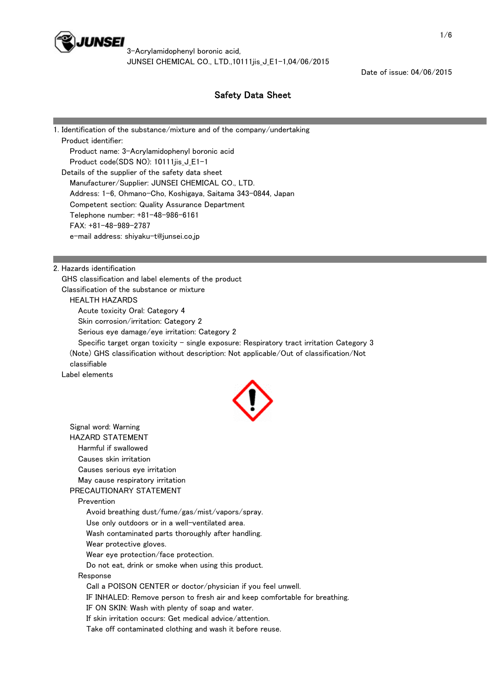

3-Acrylamidophenyl boronic acid, JUNSEI CHEMICAL CO., LTD.,10111iis J E1-1,04/06/2015

Date of issue: 04/06/2015

# Safety Data Sheet

1. Identification of the substance/mixture and of the company/undertaking Product identifier: Product name: 3-Acrylamidophenyl boronic acid Product code(SDS NO): 10111jis\_J\_E1-1 Details of the supplier of the safety data sheet Manufacturer/Supplier: JUNSEI CHEMICAL CO., LTD. Address: 1-6, Ohmano-Cho, Koshigaya, Saitama 343-0844, Japan Competent section: Quality Assurance Department Telephone number: +81-48-986-6161 FAX: +81-48-989-2787 e-mail address: shiyaku-t@junsei.co.jp

2. Hazards identification

 GHS classification and label elements of the product Classification of the substance or mixture

#### HEALTH HAZARDS

Acute toxicity Oral: Category 4

Skin corrosion/irritation: Category 2

Serious eye damage/eye irritation: Category 2

Specific target organ toxicity - single exposure: Respiratory tract irritation Category 3 (Note) GHS classification without description: Not applicable/Out of classification/Not

classifiable

Label elements



 Signal word: Warning HAZARD STATEMENT Harmful if swallowed Causes skin irritation Causes serious eye irritation May cause respiratory irritation PRECAUTIONARY STATEMENT Prevention Avoid breathing dust/fume/gas/mist/vapors/spray. Use only outdoors or in a well-ventilated area. Wash contaminated parts thoroughly after handling. Wear protective gloves. Wear eye protection/face protection. Do not eat, drink or smoke when using this product. Response Call a POISON CENTER or doctor/physician if you feel unwell. IF INHALED: Remove person to fresh air and keep comfortable for breathing. IF ON SKIN: Wash with plenty of soap and water. If skin irritation occurs: Get medical advice/attention.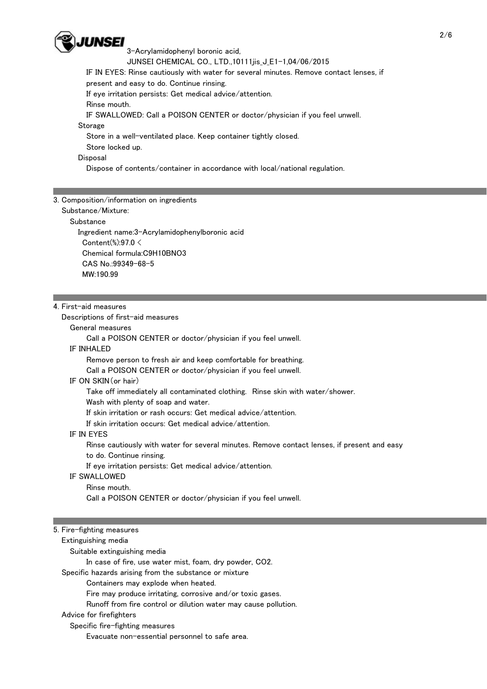

3-Acrylamidophenyl boronic acid,

JUNSEI CHEMICAL CO., LTD.,10111iis J E1-1,04/06/2015

IF IN EYES: Rinse cautiously with water for several minutes. Remove contact lenses, if

present and easy to do. Continue rinsing.

If eye irritation persists: Get medical advice/attention.

Rinse mouth.

IF SWALLOWED: Call a POISON CENTER or doctor/physician if you feel unwell.

#### **Storage**

Store in a well-ventilated place. Keep container tightly closed.

Store locked up.

#### **Disposal**

Dispose of contents/container in accordance with local/national regulation.

## 3. Composition/information on ingredients

Substance/Mixture:

**Substance** 

 Ingredient name:3-Acrylamidophenylboronic acid Content(%):97.0 < Chemical formula:C9H10BNO3 CAS No.:99349-68-5 MW:190.99

## 4. First-aid measures

Descriptions of first-aid measures

General measures

Call a POISON CENTER or doctor/physician if you feel unwell.

#### IF INHALED

Remove person to fresh air and keep comfortable for breathing.

Call a POISON CENTER or doctor/physician if you feel unwell.

## IF ON SKIN(or hair)

Take off immediately all contaminated clothing. Rinse skin with water/shower.

Wash with plenty of soap and water.

If skin irritation or rash occurs: Get medical advice/attention.

If skin irritation occurs: Get medical advice/attention.

## IF IN EYES

 Rinse cautiously with water for several minutes. Remove contact lenses, if present and easy to do. Continue rinsing.

If eye irritation persists: Get medical advice/attention.

## IF SWALLOWED

Rinse mouth.

Call a POISON CENTER or doctor/physician if you feel unwell.

## 5. Fire-fighting measures

Extinguishing media

Suitable extinguishing media

In case of fire, use water mist, foam, dry powder, CO2.

Specific hazards arising from the substance or mixture

Containers may explode when heated.

Fire may produce irritating, corrosive and/or toxic gases.

Runoff from fire control or dilution water may cause pollution.

Advice for firefighters

Specific fire-fighting measures

Evacuate non-essential personnel to safe area.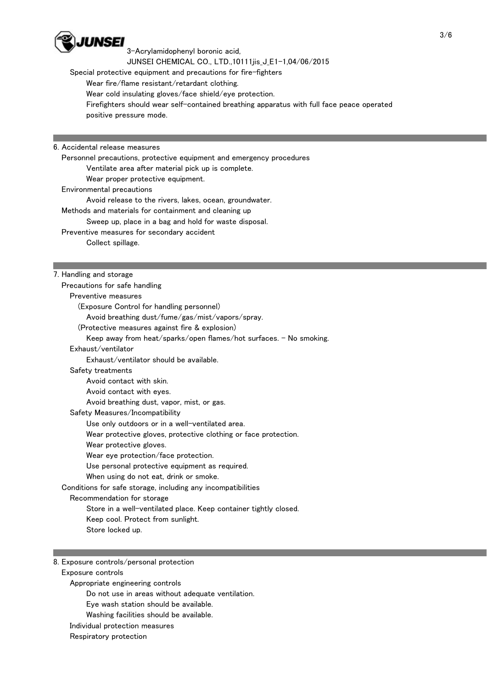

3-Acrylamidophenyl boronic acid,

JUNSEI CHEMICAL CO., LTD.,10111ijs J E1-1,04/06/2015

Special protective equipment and precautions for fire-fighters

Wear fire/flame resistant/retardant clothing.

Wear cold insulating gloves/face shield/eye protection.

 Firefighters should wear self-contained breathing apparatus with full face peace operated positive pressure mode.

6. Accidental release measures

 Personnel precautions, protective equipment and emergency procedures Ventilate area after material pick up is complete. Wear proper protective equipment. Environmental precautions Avoid release to the rivers, lakes, ocean, groundwater. Methods and materials for containment and cleaning up Sweep up, place in a bag and hold for waste disposal. Preventive measures for secondary accident Collect spillage.

7. Handling and storage

 Precautions for safe handling Preventive measures (Exposure Control for handling personnel) Avoid breathing dust/fume/gas/mist/vapors/spray. (Protective measures against fire & explosion) Keep away from heat/sparks/open flames/hot surfaces.  $-$  No smoking. Exhaust/ventilator Exhaust/ventilator should be available. Safety treatments Avoid contact with skin. Avoid contact with eyes. Avoid breathing dust, vapor, mist, or gas. Safety Measures/Incompatibility Use only outdoors or in a well-ventilated area. Wear protective gloves, protective clothing or face protection. Wear protective gloves. Wear eye protection/face protection. Use personal protective equipment as required. When using do not eat, drink or smoke. Conditions for safe storage, including any incompatibilities Recommendation for storage Store in a well-ventilated place. Keep container tightly closed. Keep cool. Protect from sunlight. Store locked up.

8. Exposure controls/personal protection

Exposure controls

Appropriate engineering controls

Do not use in areas without adequate ventilation.

Eye wash station should be available.

Washing facilities should be available.

Individual protection measures

Respiratory protection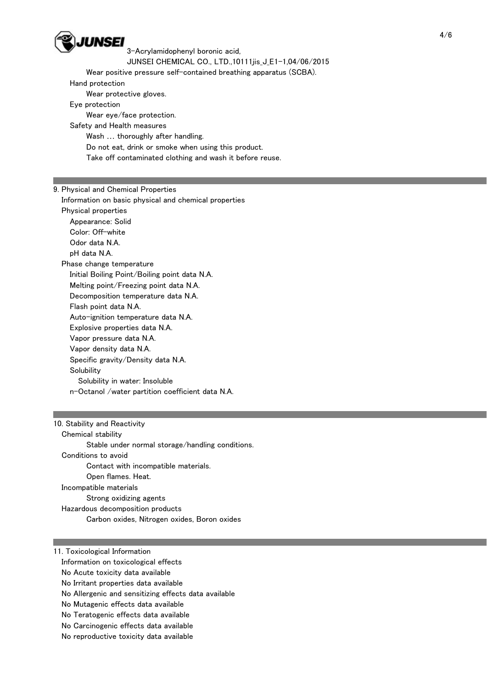

3-Acrylamidophenyl boronic acid,

JUNSEI CHEMICAL CO., LTD.,10111ijs J E1-1,04/06/2015

Wear positive pressure self-contained breathing apparatus (SCBA).

Hand protection

Wear protective gloves.

Eye protection

 Wear eye/face protection. Safety and Health measures

Wash … thoroughly after handling.

Do not eat, drink or smoke when using this product.

Take off contaminated clothing and wash it before reuse.

# 9. Physical and Chemical Properties

 Information on basic physical and chemical properties Physical properties Appearance: Solid Color: Off-white Odor data N.A. pH data N.A. Phase change temperature Initial Boiling Point/Boiling point data N.A. Melting point/Freezing point data N.A. Decomposition temperature data N.A. Flash point data N.A. Auto-ignition temperature data N.A. Explosive properties data N.A. Vapor pressure data N.A. Vapor density data N.A. Specific gravity/Density data N.A. Solubility Solubility in water: Insoluble n-Octanol /water partition coefficient data N.A.

## 10. Stability and Reactivity

 Chemical stability Stable under normal storage/handling conditions. Conditions to avoid Contact with incompatible materials. Open flames. Heat. Incompatible materials Strong oxidizing agents Hazardous decomposition products Carbon oxides, Nitrogen oxides, Boron oxides

11. Toxicological Information Information on toxicological effects No Acute toxicity data available No Irritant properties data available No Allergenic and sensitizing effects data available No Mutagenic effects data available No Teratogenic effects data available

No Carcinogenic effects data available

No reproductive toxicity data available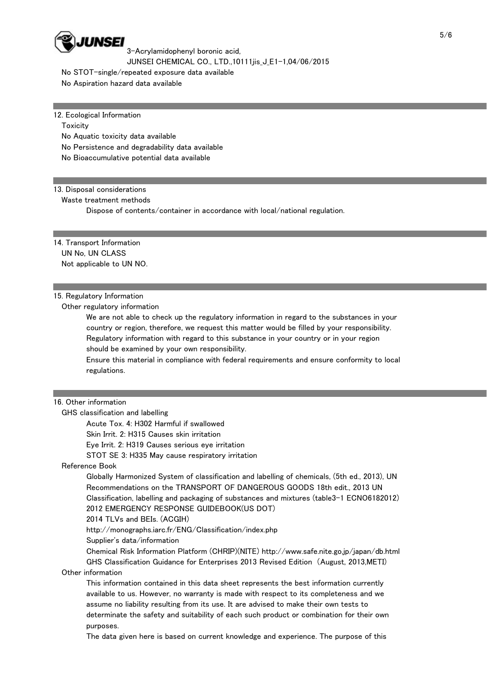

3-Acrylamidophenyl boronic acid, JUNSEI CHEMICAL CO., LTD.,10111iis J E1-1,04/06/2015

No STOT-single/repeated exposure data available

No Aspiration hazard data available

#### 12. Ecological Information

**Toxicity** 

No Aquatic toxicity data available

No Persistence and degradability data available

No Bioaccumulative potential data available

#### 13. Disposal considerations

Waste treatment methods

Dispose of contents/container in accordance with local/national regulation.

14. Transport Information UN No, UN CLASS Not applicable to UN NO.

#### 15. Regulatory Information

Other regulatory information

 We are not able to check up the regulatory information in regard to the substances in your country or region, therefore, we request this matter would be filled by your responsibility. Regulatory information with regard to this substance in your country or in your region should be examined by your own responsibility.

 Ensure this material in compliance with federal requirements and ensure conformity to local regulations.

#### 16. Other information

GHS classification and labelling

Acute Tox. 4: H302 Harmful if swallowed

Skin Irrit. 2: H315 Causes skin irritation

Eye Irrit. 2: H319 Causes serious eye irritation

STOT SE 3: H335 May cause respiratory irritation

Reference Book

 Globally Harmonized System of classification and labelling of chemicals, (5th ed., 2013), UN Recommendations on the TRANSPORT OF DANGEROUS GOODS 18th edit., 2013 UN Classification, labelling and packaging of substances and mixtures (table3-1 ECNO6182012) 2012 EMERGENCY RESPONSE GUIDEBOOK(US DOT)

2014 TLVs and BEIs. (ACGIH)

http://monographs.iarc.fr/ENG/Classification/index.php

Supplier's data/information

 Chemical Risk Information Platform (CHRIP)(NITE) http://www.safe.nite.go.jp/japan/db.html GHS Classification Guidance for Enterprises 2013 Revised Edition (August, 2013,METI)

Other information

 This information contained in this data sheet represents the best information currently available to us. However, no warranty is made with respect to its completeness and we assume no liability resulting from its use. It are advised to make their own tests to determinate the safety and suitability of each such product or combination for their own purposes.

The data given here is based on current knowledge and experience. The purpose of this